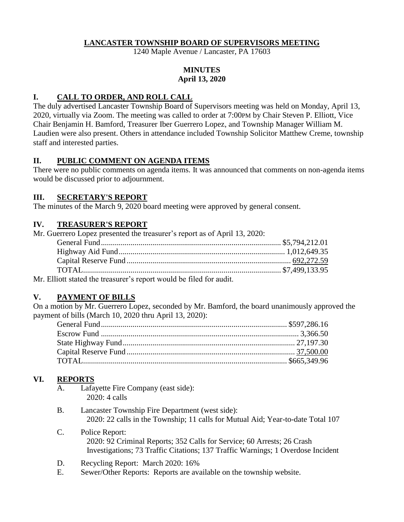#### **LANCASTER TOWNSHIP BOARD OF SUPERVISORS MEETING**

1240 Maple Avenue / Lancaster, PA 17603

### **MINUTES April 13, 2020**

### **I. CALL TO ORDER, AND ROLL CALL**

The duly advertised Lancaster Township Board of Supervisors meeting was held on Monday, April 13, 2020, virtually via Zoom. The meeting was called to order at 7:00PM by Chair Steven P. Elliott, Vice Chair Benjamin H. Bamford, Treasurer Iber Guerrero Lopez, and Township Manager William M. Laudien were also present. Others in attendance included Township Solicitor Matthew Creme, township staff and interested parties.

## **II. PUBLIC COMMENT ON AGENDA ITEMS**

There were no public comments on agenda items. It was announced that comments on non-agenda items would be discussed prior to adjournment.

## **III. SECRETARY'S REPORT**

The minutes of the March 9, 2020 board meeting were approved by general consent.

## **IV. TREASURER'S REPORT**

| Mr. Guerrero Lopez presented the treasurer's report as of April 13, 2020: |  |
|---------------------------------------------------------------------------|--|
|                                                                           |  |
|                                                                           |  |
|                                                                           |  |
|                                                                           |  |
| Mr. Elliott stated the treasurer's report would be filed for audit        |  |

Mr. Elliott stated the treasurer's report would be filed for audit.

# **V. PAYMENT OF BILLS**

On a motion by Mr. Guerrero Lopez, seconded by Mr. Bamford, the board unanimously approved the payment of bills (March 10, 2020 thru April 13, 2020):

# **VI. REPORTS**

- A. Lafayette Fire Company (east side): 2020: 4 calls
- B. Lancaster Township Fire Department (west side): 2020: 22 calls in the Township; 11 calls for Mutual Aid; Year-to-date Total 107
- C. Police Report: 2020: 92 Criminal Reports; 352 Calls for Service; 60 Arrests; 26 Crash Investigations; 73 Traffic Citations; 137 Traffic Warnings; 1 Overdose Incident
- D. Recycling Report: March 2020: 16%
- E. Sewer/Other Reports: Reports are available on the township website.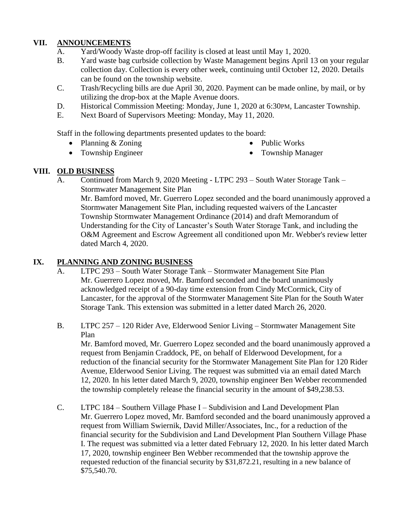## **VII. ANNOUNCEMENTS**

- A. Yard/Woody Waste drop-off facility is closed at least until May 1, 2020.
- B. Yard waste bag curbside collection by Waste Management begins April 13 on your regular collection day. Collection is every other week, continuing until October 12, 2020. Details can be found on the township website.
- C. Trash/Recycling bills are due April 30, 2020. Payment can be made online, by mail, or by utilizing the drop-box at the Maple Avenue doors.
- D. Historical Commission Meeting: Monday, June 1, 2020 at 6:30PM, Lancaster Township.
- E. Next Board of Supervisors Meeting: Monday, May 11, 2020.

Staff in the following departments presented updates to the board:

• Planning & Zoning

• Public Works

• Township Engineer

- Township Manager
- 

# **VIII. OLD BUSINESS**

A. Continued from March 9, 2020 Meeting - LTPC 293 – South Water Storage Tank – Stormwater Management Site Plan Mr. Bamford moved, Mr. Guerrero Lopez seconded and the board unanimously approved a Stormwater Management Site Plan, including requested waivers of the Lancaster Township Stormwater Management Ordinance (2014) and draft Memorandum of Understanding for the City of Lancaster's South Water Storage Tank, and including the O&M Agreement and Escrow Agreement all conditioned upon Mr. Webber's review letter dated March 4, 2020.

# **IX. PLANNING AND ZONING BUSINESS**

- A. LTPC 293 South Water Storage Tank Stormwater Management Site Plan Mr. Guerrero Lopez moved, Mr. Bamford seconded and the board unanimously acknowledged receipt of a 90-day time extension from Cindy McCormick, City of Lancaster, for the approval of the Stormwater Management Site Plan for the South Water Storage Tank. This extension was submitted in a letter dated March 26, 2020.
- B. LTPC 257 120 Rider Ave, Elderwood Senior Living Stormwater Management Site Plan

Mr. Bamford moved, Mr. Guerrero Lopez seconded and the board unanimously approved a request from Benjamin Craddock, PE, on behalf of Elderwood Development, for a reduction of the financial security for the Stormwater Management Site Plan for 120 Rider Avenue, Elderwood Senior Living. The request was submitted via an email dated March 12, 2020. In his letter dated March 9, 2020, township engineer Ben Webber recommended the township completely release the financial security in the amount of \$49,238.53.

C. LTPC 184 – Southern Village Phase I – Subdivision and Land Development Plan Mr. Guerrero Lopez moved, Mr. Bamford seconded and the board unanimously approved a request from William Swiernik, David Miller/Associates, Inc., for a reduction of the financial security for the Subdivision and Land Development Plan Southern Village Phase I. The request was submitted via a letter dated February 12, 2020. In his letter dated March 17, 2020, township engineer Ben Webber recommended that the township approve the requested reduction of the financial security by \$31,872.21, resulting in a new balance of \$75,540.70.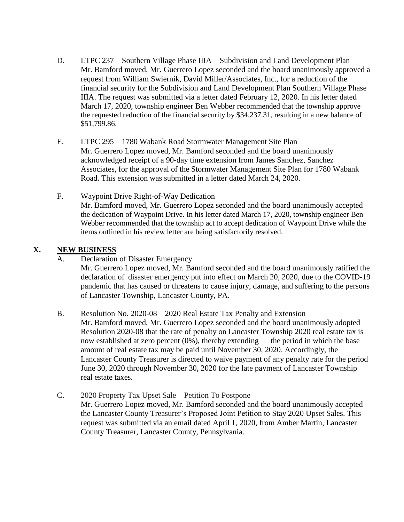- D. LTPC 237 Southern Village Phase IIIA Subdivision and Land Development Plan Mr. Bamford moved, Mr. Guerrero Lopez seconded and the board unanimously approved a request from William Swiernik, David Miller/Associates, Inc., for a reduction of the financial security for the Subdivision and Land Development Plan Southern Village Phase IIIA. The request was submitted via a letter dated February 12, 2020. In his letter dated March 17, 2020, township engineer Ben Webber recommended that the township approve the requested reduction of the financial security by \$34,237.31, resulting in a new balance of \$51,799.86.
- E. LTPC 295 1780 Wabank Road Stormwater Management Site Plan Mr. Guerrero Lopez moved, Mr. Bamford seconded and the board unanimously acknowledged receipt of a 90-day time extension from James Sanchez, Sanchez Associates, for the approval of the Stormwater Management Site Plan for 1780 Wabank Road. This extension was submitted in a letter dated March 24, 2020.
- F. Waypoint Drive Right-of-Way Dedication Mr. Bamford moved, Mr. Guerrero Lopez seconded and the board unanimously accepted the dedication of Waypoint Drive. In his letter dated March 17, 2020, township engineer Ben Webber recommended that the township act to accept dedication of Waypoint Drive while the items outlined in his review letter are being satisfactorily resolved.

### **X. NEW BUSINESS**

A. Declaration of Disaster Emergency

Mr. Guerrero Lopez moved, Mr. Bamford seconded and the board unanimously ratified the declaration of disaster emergency put into effect on March 20, 2020, due to the COVID-19 pandemic that has caused or threatens to cause injury, damage, and suffering to the persons of Lancaster Township, Lancaster County, PA.

- B. Resolution No. 2020-08 2020 Real Estate Tax Penalty and Extension Mr. Bamford moved, Mr. Guerrero Lopez seconded and the board unanimously adopted Resolution 2020-08 that the rate of penalty on Lancaster Township 2020 real estate tax is now established at zero percent  $(0\%)$ , thereby extending the period in which the base amount of real estate tax may be paid until November 30, 2020. Accordingly, the Lancaster County Treasurer is directed to waive payment of any penalty rate for the period June 30, 2020 through November 30, 2020 for the late payment of Lancaster Township real estate taxes.
- C. 2020 Property Tax Upset Sale Petition To Postpone Mr. Guerrero Lopez moved, Mr. Bamford seconded and the board unanimously accepted the Lancaster County Treasurer's Proposed Joint Petition to Stay 2020 Upset Sales. This request was submitted via an email dated April 1, 2020, from Amber Martin, Lancaster County Treasurer, Lancaster County, Pennsylvania.